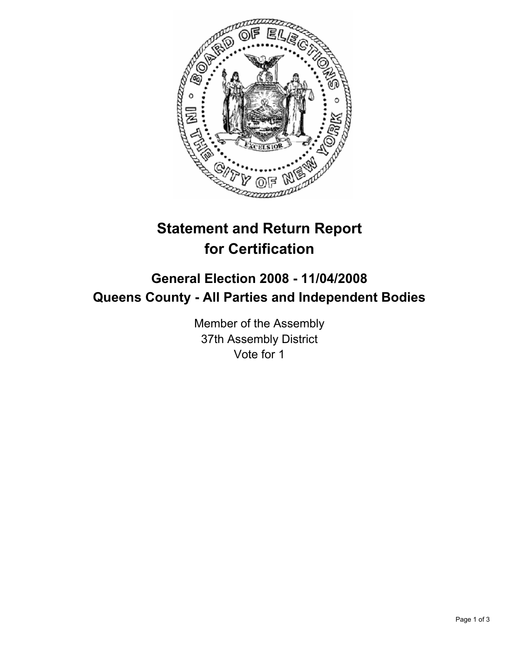

# **Statement and Return Report for Certification**

## **General Election 2008 - 11/04/2008 Queens County - All Parties and Independent Bodies**

Member of the Assembly 37th Assembly District Vote for 1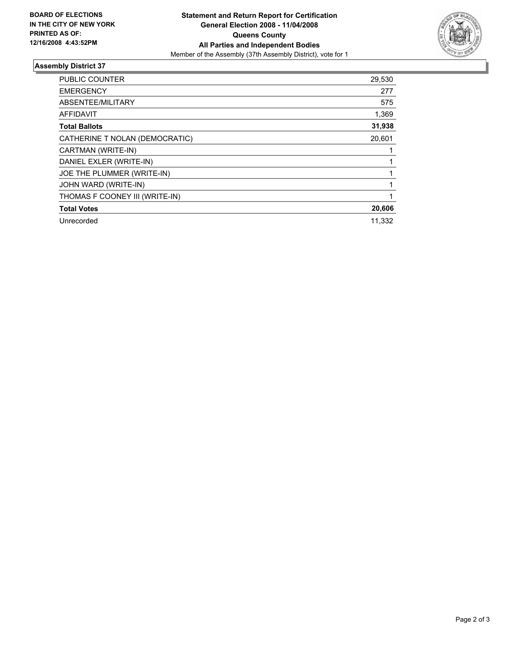

### **Assembly District 37**

| PUBLIC COUNTER                 | 29,530 |
|--------------------------------|--------|
| <b>EMERGENCY</b>               | 277    |
| ABSENTEE/MILITARY              | 575    |
| AFFIDAVIT                      | 1,369  |
| <b>Total Ballots</b>           | 31,938 |
| CATHERINE T NOLAN (DEMOCRATIC) | 20,601 |
| CARTMAN (WRITE-IN)             |        |
| DANIEL EXLER (WRITE-IN)        |        |
| JOE THE PLUMMER (WRITE-IN)     |        |
| JOHN WARD (WRITE-IN)           |        |
| THOMAS F COONEY III (WRITE-IN) |        |
| <b>Total Votes</b>             | 20,606 |
| Unrecorded                     | 11,332 |